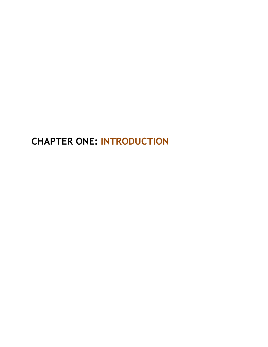**CHAPTER ONE: INTRODUCTION**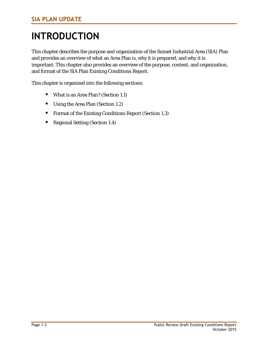# **INTRODUCTION**

This chapter describes the purpose and organization of the Sunset Industrial Area (SIA) Plan and provides an overview of what an Area Plan is, why it is prepared, and why it is important. This chapter also provides an overview of the purpose, content, and organization, and format of the SIA Plan Existing Conditions Report.

This chapter is organized into the following sections:

- What is an Area Plan? (Section 1.1)
- Using the Area Plan (Section 1.2)
- Format of the Existing Conditions Report (Section 1.3)
- Regional Setting (Section 1.4)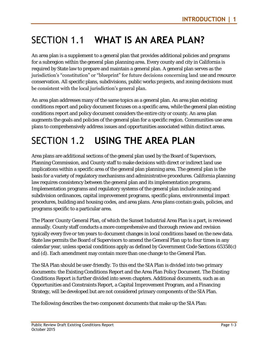## SECTION 1.1 **WHAT IS AN AREA PLAN?**

An area plan is a supplement to a general plan that provides additional policies and programs for a subregion within the general plan planning area. Every county and city in California is required by State law to prepare and maintain a general plan. A general plan serves as the jurisdiction's "constitution" or "blueprint" for future decisions concerning land use and resource conservation. All specific plans, subdivisions, public works projects, and zoning decisions must be consistent with the local jurisdiction's general plan.

An area plan addresses many of the same topics as a general plan. An area plan existing conditions report and policy document focuses on a specific area, while the general plan existing conditions report and policy document considers the entire city or county. An area plan augments the goals and policies of the general plan for a specific region. Communities use area plans to comprehensively address issues and opportunities associated within distinct areas.

## SECTION 1.2 **USING THE AREA PLAN**

Area plans are additional sections of the general plan used by the Board of Supervisors, Planning Commission, and County staff to make decisions with direct or indirect land use implications within a specific area of the general plan planning area. The general plan is the basis for a variety of regulatory mechanisms and administrative procedures. California planning law requires consistency between the general plan and its implementation programs. Implementation programs and regulatory systems of the general plan include zoning and subdivision ordinances, capital improvement programs, specific plans, environmental impact procedures, building and housing codes, and area plans. Area plans contain goals, policies, and programs specific to a particular area.

The Placer County General Plan, of which the Sunset Industrial Area Plan is a part, is reviewed annually. County staff conducts a more comprehensive and thorough review and revision typically every five or ten years to document changes in local conditions based on the new data. State law permits the Board of Supervisors to amend the General Plan up to four times in any calendar year, unless special conditions apply as defined by Government Code Sections 65358(c) and (d). Each amendment may contain more than one change to the General Plan.

The SIA Plan should be user-friendly. To this end the SIA Plan is divided into two primary documents: the Existing Conditions Report and the Area Plan Policy Document. The Existing Conditions Report is further divided into seven chapters. Additional documents, such as an Opportunities and Constraints Report, a Capital Improvement Program, and a Financing Strategy, will be developed but are not considered primary components of the SIA Plan.

The following describes the two component documents that make up the SIA Plan: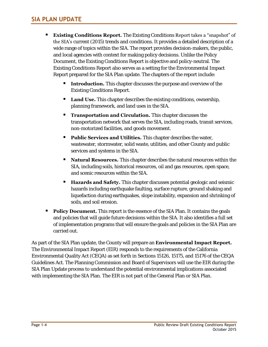- **Existing Conditions Report.** The Existing Conditions Report takes a "snapshot" of the SIA's current (2015) trends and conditions. It provides a detailed description of a wide range of topics within the SIA. The report provides decision-makers, the public, and local agencies with context for making policy decisions. Unlike the Policy Document, the Existing Conditions Report is objective and policy-neutral. The Existing Conditions Report also serves as a setting for the Environmental Impact Report prepared for the SIA Plan update. The chapters of the report include:
	- **Introduction.** This chapter discusses the purpose and overview of the Existing Conditions Report.
	- **Land Use.** This chapter describes the existing conditions, ownership, planning framework, and land uses in the SIA.
	- **Transportation and Circulation.** This chapter discusses the transportation network that serves the SIA, including roads, transit services, non-motorized facilities, and goods movement.
	- **Public Services and Utilities.** This chapter describes the water, wastewater, stormwater, solid waste, utilities, and other County and public services and systems in the SIA.
	- **Natural Resources.** This chapter describes the natural resources within the SIA, including soils, historical resources, oil and gas resources, open space, and scenic resources within the SIA.
	- **Hazards and Safety.** This chapter discusses potential geologic and seismic hazards including earthquake faulting, surface rupture, ground shaking and liquefaction during earthquakes, slope instability, expansion and shrinking of soils, and soil erosion.
- **Policy Document.** This report is the essence of the SIA Plan. It contains the goals and policies that will guide future decisions within the SIA. It also identifies a full set of implementation programs that will ensure the goals and policies in the SIA Plan are carried out.

As part of the SIA Plan update, the County will prepare an **Environmental Impact Report.** The Environmental Impact Report (EIR) responds to the requirements of the California Environmental Quality Act (CEQA) as set forth in Sections 15126, 15175, and 15176 of the CEQA Guidelines Act. The Planning Commission and Board of Supervisors will use the EIR during the SIA Plan Update process to understand the potential environmental implications associated with implementing the SIA Plan. The EIR is not part of the General Plan or SIA Plan.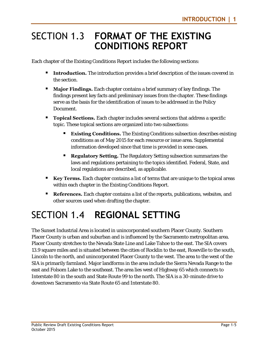#### SECTION 1.3 **FORMAT OF THE EXISTING CONDITIONS REPORT**

Each chapter of the Existing Conditions Report includes the following sections:

- **Introduction.** The introduction provides a brief description of the issues covered in the section.
- **Major Findings.** Each chapter contains a brief summary of key findings. The findings present key facts and preliminary issues from the chapter. These findings serve as the basis for the identification of issues to be addressed in the Policy Document.
- **Topical Sections.** Each chapter includes several sections that address a specific topic. These topical sections are organized into two subsections:
	- **Existing Conditions.** The Existing Conditions subsection describes existing conditions as of May 2015 for each resource or issue area. Supplemental information developed since that time is provided in some cases.
	- **Regulatory Setting.** The Regulatory Setting subsection summarizes the laws and regulations pertaining to the topics identified. Federal, State, and local regulations are described, as applicable.
- **Key Terms.** Each chapter contains a list of terms that are unique to the topical areas within each chapter in the Existing Conditions Report.
- **References.** Each chapter contains a list of the reports, publications, websites, and other sources used when drafting the chapter.

#### SECTION 1.4 **REGIONAL SETTING**

The Sunset Industrial Area is located in unincorporated southern Placer County. Southern Placer County is urban and suburban and is influenced by the Sacramento metropolitan area. Placer County stretches to the Nevada State Line and Lake Tahoe to the east. The SIA covers 13.9 square miles and is situated between the cities of Rocklin to the east, Roseville to the south, Lincoln to the north, and unincorporated Placer County to the west. The area to the west of the SIA is primarily farmland. Major landforms in the area include the Sierra Nevada Range to the east and Folsom Lake to the southeast. The area lies west of Highway 65 which connects to Interstate 80 in the south and State Route 99 to the north. The SIA is a 30-minute drive to downtown Sacramento via State Route 65 and Interstate 80.